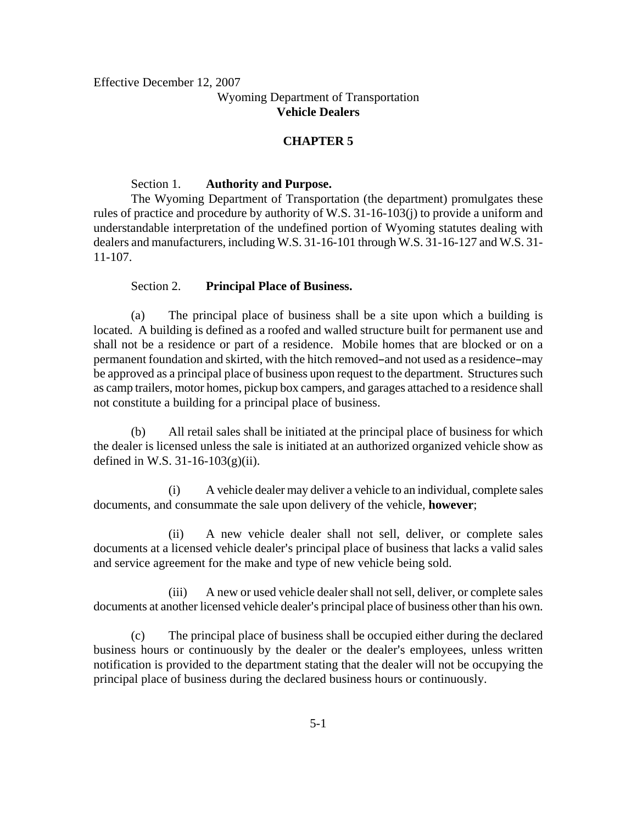Effective December 12, 2007 Wyoming Department of Transportation **Vehicle Dealers**

## **CHAPTER 5**

### Section 1. **Authority and Purpose.**

The Wyoming Department of Transportation (the department) promulgates these rules of practice and procedure by authority of W.S. 31-16-103(j) to provide a uniform and understandable interpretation of the undefined portion of Wyoming statutes dealing with dealers and manufacturers, including W.S. 31-16-101 through W.S. 31-16-127 and W.S. 31- 11-107.

## Section 2. **Principal Place of Business.**

(a) The principal place of business shall be a site upon which a building is located. A building is defined as a roofed and walled structure built for permanent use and shall not be a residence or part of a residence. Mobile homes that are blocked or on a permanent foundation and skirted, with the hitch removed-and not used as a residence-may be approved as a principal place of business upon request to the department. Structures such as camp trailers, motor homes, pickup box campers, and garages attached to a residence shall not constitute a building for a principal place of business.

(b) All retail sales shall be initiated at the principal place of business for which the dealer is licensed unless the sale is initiated at an authorized organized vehicle show as defined in W.S. 31-16-103(g)(ii).

(i) A vehicle dealer may deliver a vehicle to an individual, complete sales documents, and consummate the sale upon delivery of the vehicle, **however**;

(ii) A new vehicle dealer shall not sell, deliver, or complete sales documents at a licensed vehicle dealer's principal place of business that lacks a valid sales and service agreement for the make and type of new vehicle being sold.

(iii) A new or used vehicle dealer shall not sell, deliver, or complete sales documents at another licensed vehicle dealer's principal place of business other than his own.

(c) The principal place of business shall be occupied either during the declared business hours or continuously by the dealer or the dealer's employees, unless written notification is provided to the department stating that the dealer will not be occupying the principal place of business during the declared business hours or continuously.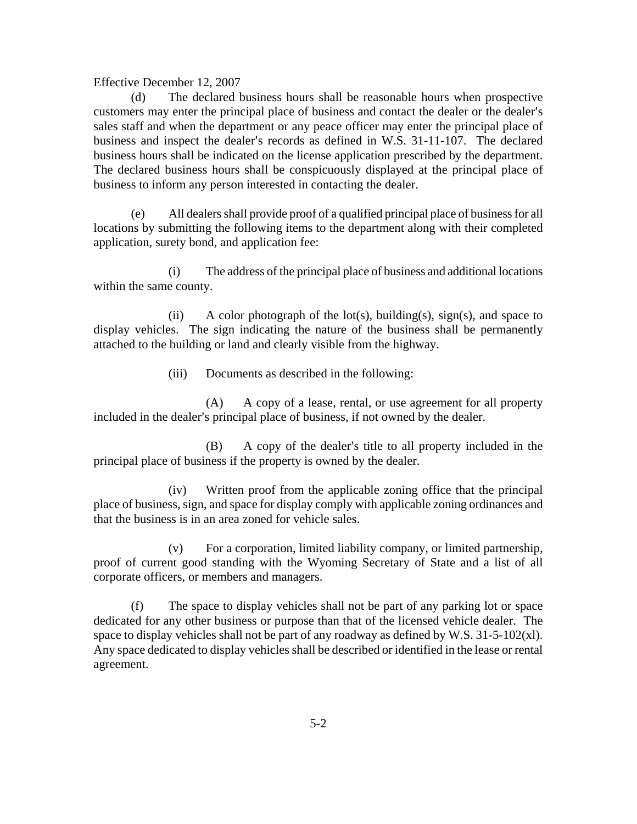(d) The declared business hours shall be reasonable hours when prospective customers may enter the principal place of business and contact the dealer or the dealer's sales staff and when the department or any peace officer may enter the principal place of business and inspect the dealer's records as defined in W.S. 31-11-107. The declared business hours shall be indicated on the license application prescribed by the department. The declared business hours shall be conspicuously displayed at the principal place of business to inform any person interested in contacting the dealer.

(e) All dealers shall provide proof of a qualified principal place of business for all locations by submitting the following items to the department along with their completed application, surety bond, and application fee:

(i) The address of the principal place of business and additional locations within the same county.

(ii) A color photograph of the lot(s), building(s), sign(s), and space to display vehicles. The sign indicating the nature of the business shall be permanently attached to the building or land and clearly visible from the highway.

(iii) Documents as described in the following:

(A) A copy of a lease, rental, or use agreement for all property included in the dealer's principal place of business, if not owned by the dealer.

(B) A copy of the dealer's title to all property included in the principal place of business if the property is owned by the dealer.

(iv) Written proof from the applicable zoning office that the principal place of business, sign, and space for display comply with applicable zoning ordinances and that the business is in an area zoned for vehicle sales.

(v) For a corporation, limited liability company, or limited partnership, proof of current good standing with the Wyoming Secretary of State and a list of all corporate officers, or members and managers.

(f) The space to display vehicles shall not be part of any parking lot or space dedicated for any other business or purpose than that of the licensed vehicle dealer. The space to display vehicles shall not be part of any roadway as defined by W.S.  $31-5-102(x)$ . Any space dedicated to display vehicles shall be described or identified in the lease or rental agreement.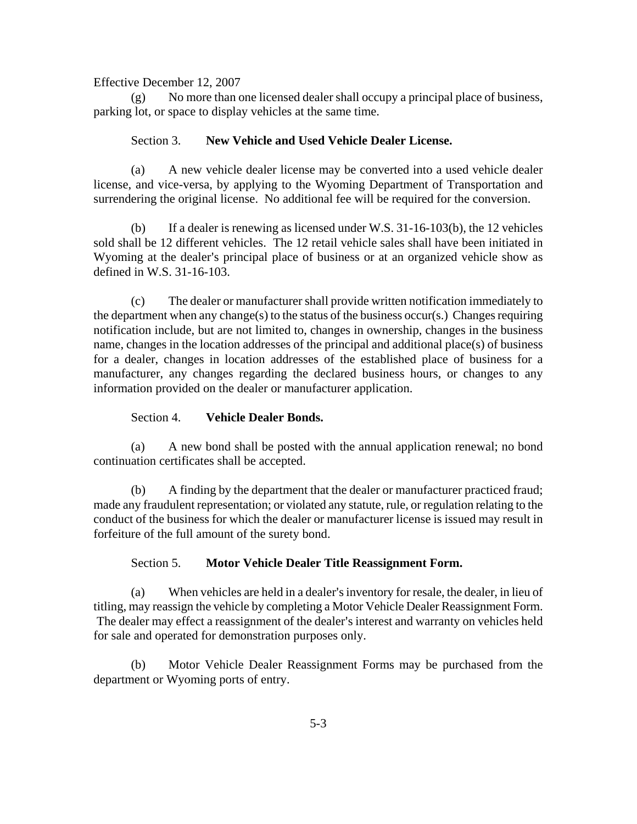(g) No more than one licensed dealer shall occupy a principal place of business, parking lot, or space to display vehicles at the same time.

# Section 3. **New Vehicle and Used Vehicle Dealer License.**

(a) A new vehicle dealer license may be converted into a used vehicle dealer license, and vice-versa, by applying to the Wyoming Department of Transportation and surrendering the original license. No additional fee will be required for the conversion.

(b) If a dealer is renewing as licensed under W.S. 31-16-103(b), the 12 vehicles sold shall be 12 different vehicles. The 12 retail vehicle sales shall have been initiated in Wyoming at the dealer's principal place of business or at an organized vehicle show as defined in W.S. 31-16-103.

(c) The dealer or manufacturer shall provide written notification immediately to the department when any change(s) to the status of the business occur(s.) Changes requiring notification include, but are not limited to, changes in ownership, changes in the business name, changes in the location addresses of the principal and additional place(s) of business for a dealer, changes in location addresses of the established place of business for a manufacturer, any changes regarding the declared business hours, or changes to any information provided on the dealer or manufacturer application.

# Section 4. **Vehicle Dealer Bonds.**

(a) A new bond shall be posted with the annual application renewal; no bond continuation certificates shall be accepted.

(b) A finding by the department that the dealer or manufacturer practiced fraud; made any fraudulent representation; or violated any statute, rule, or regulation relating to the conduct of the business for which the dealer or manufacturer license is issued may result in forfeiture of the full amount of the surety bond.

# Section 5. **Motor Vehicle Dealer Title Reassignment Form.**

(a) When vehicles are held in a dealer's inventory for resale, the dealer, in lieu of titling, may reassign the vehicle by completing a Motor Vehicle Dealer Reassignment Form. The dealer may effect a reassignment of the dealer's interest and warranty on vehicles held for sale and operated for demonstration purposes only.

(b) Motor Vehicle Dealer Reassignment Forms may be purchased from the department or Wyoming ports of entry.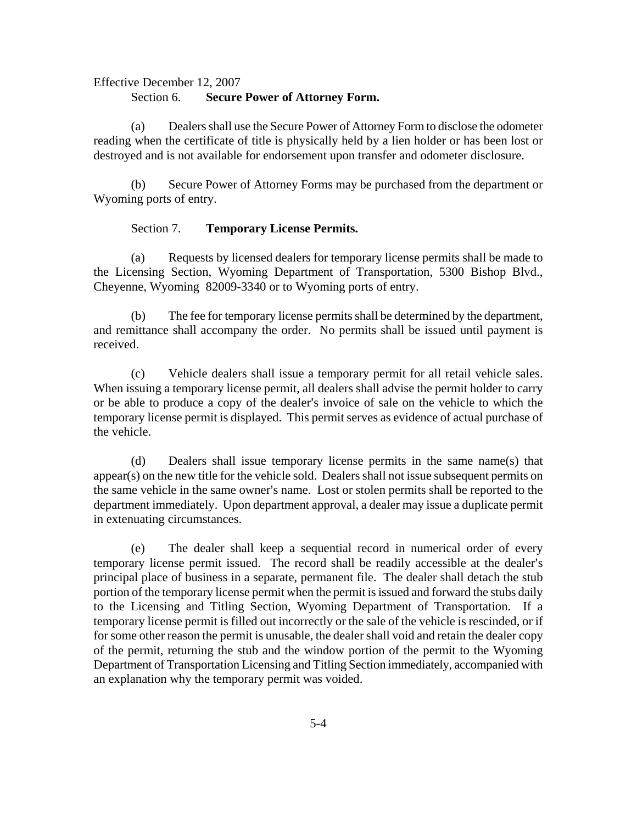#### Section 6. **Secure Power of Attorney Form.**

(a) Dealers shall use the Secure Power of Attorney Form to disclose the odometer reading when the certificate of title is physically held by a lien holder or has been lost or destroyed and is not available for endorsement upon transfer and odometer disclosure.

(b) Secure Power of Attorney Forms may be purchased from the department or Wyoming ports of entry.

### Section 7. **Temporary License Permits.**

(a) Requests by licensed dealers for temporary license permits shall be made to the Licensing Section, Wyoming Department of Transportation, 5300 Bishop Blvd., Cheyenne, Wyoming 82009-3340 or to Wyoming ports of entry.

(b) The fee for temporary license permits shall be determined by the department, and remittance shall accompany the order. No permits shall be issued until payment is received.

(c) Vehicle dealers shall issue a temporary permit for all retail vehicle sales. When issuing a temporary license permit, all dealers shall advise the permit holder to carry or be able to produce a copy of the dealer's invoice of sale on the vehicle to which the temporary license permit is displayed. This permit serves as evidence of actual purchase of the vehicle.

(d) Dealers shall issue temporary license permits in the same name(s) that appear(s) on the new title for the vehicle sold. Dealers shall not issue subsequent permits on the same vehicle in the same owner's name. Lost or stolen permits shall be reported to the department immediately. Upon department approval, a dealer may issue a duplicate permit in extenuating circumstances.

(e) The dealer shall keep a sequential record in numerical order of every temporary license permit issued. The record shall be readily accessible at the dealer's principal place of business in a separate, permanent file. The dealer shall detach the stub portion of the temporary license permit when the permit is issued and forward the stubs daily to the Licensing and Titling Section, Wyoming Department of Transportation. If a temporary license permit is filled out incorrectly or the sale of the vehicle is rescinded, or if for some other reason the permit is unusable, the dealer shall void and retain the dealer copy of the permit, returning the stub and the window portion of the permit to the Wyoming Department of Transportation Licensing and Titling Section immediately, accompanied with an explanation why the temporary permit was voided.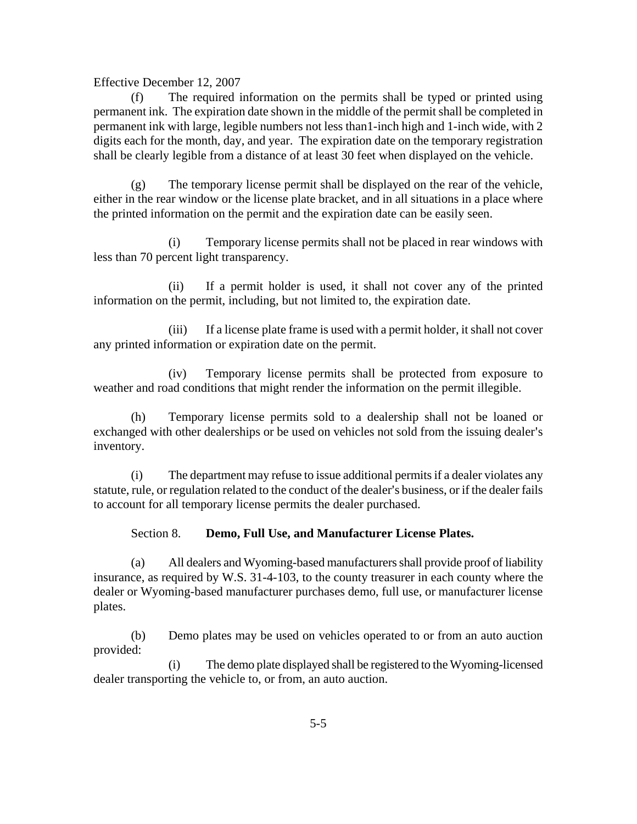(f) The required information on the permits shall be typed or printed using permanent ink. The expiration date shown in the middle of the permit shall be completed in permanent ink with large, legible numbers not less than1-inch high and 1-inch wide, with 2 digits each for the month, day, and year. The expiration date on the temporary registration shall be clearly legible from a distance of at least 30 feet when displayed on the vehicle.

(g) The temporary license permit shall be displayed on the rear of the vehicle, either in the rear window or the license plate bracket, and in all situations in a place where the printed information on the permit and the expiration date can be easily seen.

(i) Temporary license permits shall not be placed in rear windows with less than 70 percent light transparency.

(ii) If a permit holder is used, it shall not cover any of the printed information on the permit, including, but not limited to, the expiration date.

(iii) If a license plate frame is used with a permit holder, it shall not cover any printed information or expiration date on the permit.

(iv) Temporary license permits shall be protected from exposure to weather and road conditions that might render the information on the permit illegible.

(h) Temporary license permits sold to a dealership shall not be loaned or exchanged with other dealerships or be used on vehicles not sold from the issuing dealer's inventory.

(i) The department may refuse to issue additional permits if a dealer violates any statute, rule, or regulation related to the conduct of the dealer's business, or if the dealer fails to account for all temporary license permits the dealer purchased.

Section 8. **Demo, Full Use, and Manufacturer License Plates.**

(a) All dealers and Wyoming-based manufacturers shall provide proof of liability insurance, as required by W.S. 31-4-103, to the county treasurer in each county where the dealer or Wyoming-based manufacturer purchases demo, full use, or manufacturer license plates.

(b) Demo plates may be used on vehicles operated to or from an auto auction provided:

(i) The demo plate displayed shall be registered to the Wyoming-licensed dealer transporting the vehicle to, or from, an auto auction.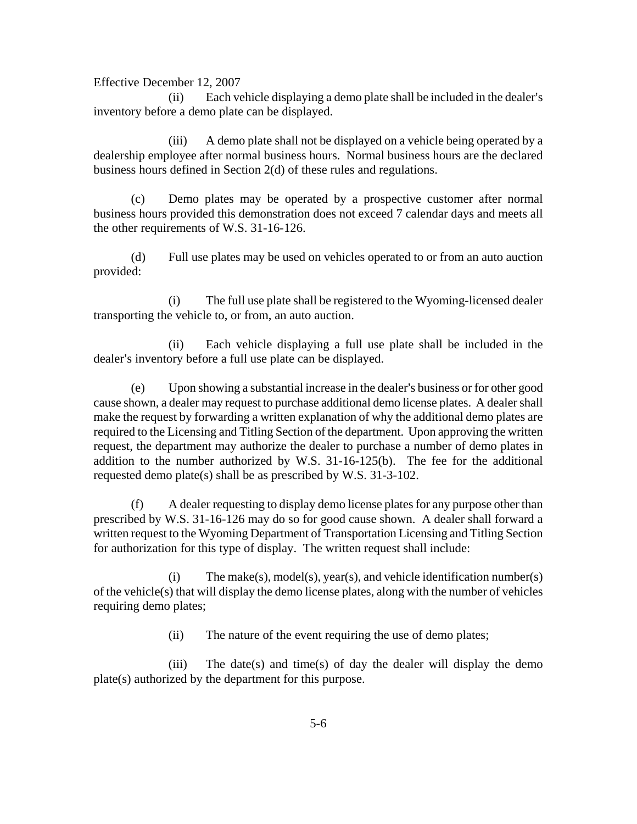(ii) Each vehicle displaying a demo plate shall be included in the dealer's inventory before a demo plate can be displayed.

(iii) A demo plate shall not be displayed on a vehicle being operated by a dealership employee after normal business hours. Normal business hours are the declared business hours defined in Section 2(d) of these rules and regulations.

(c) Demo plates may be operated by a prospective customer after normal business hours provided this demonstration does not exceed 7 calendar days and meets all the other requirements of W.S. 31-16-126.

(d) Full use plates may be used on vehicles operated to or from an auto auction provided:

(i) The full use plate shall be registered to the Wyoming-licensed dealer transporting the vehicle to, or from, an auto auction.

(ii) Each vehicle displaying a full use plate shall be included in the dealer's inventory before a full use plate can be displayed.

(e) Upon showing a substantial increase in the dealer=s business or for other good cause shown, a dealer may request to purchase additional demo license plates. A dealer shall make the request by forwarding a written explanation of why the additional demo plates are required to the Licensing and Titling Section of the department. Upon approving the written request, the department may authorize the dealer to purchase a number of demo plates in addition to the number authorized by W.S. 31-16-125(b). The fee for the additional requested demo plate(s) shall be as prescribed by W.S. 31-3-102.

(f) A dealer requesting to display demo license plates for any purpose other than prescribed by W.S. 31-16-126 may do so for good cause shown. A dealer shall forward a written request to the Wyoming Department of Transportation Licensing and Titling Section for authorization for this type of display. The written request shall include:

(i) The make(s), model(s), year(s), and vehicle identification number(s) of the vehicle(s) that will display the demo license plates, along with the number of vehicles requiring demo plates;

(ii) The nature of the event requiring the use of demo plates;

(iii) The date(s) and time(s) of day the dealer will display the demo plate(s) authorized by the department for this purpose.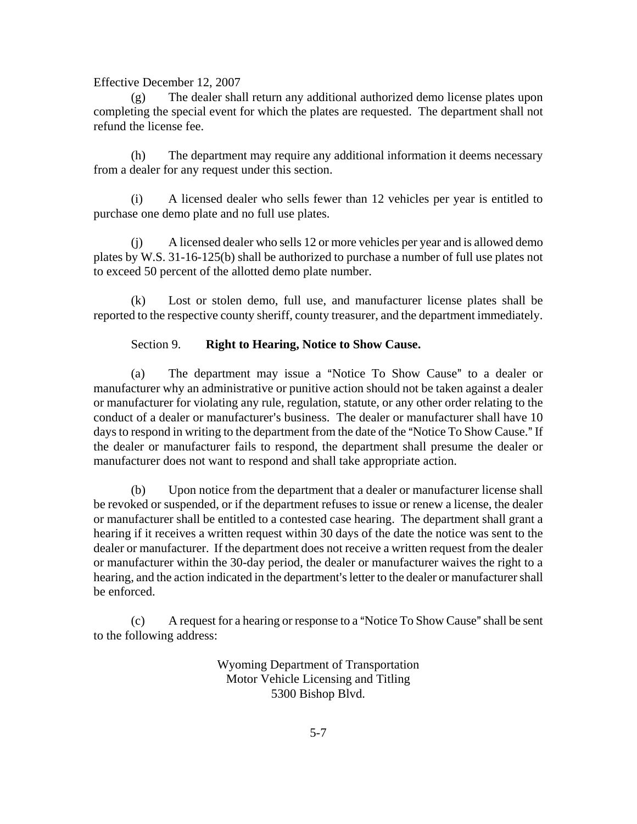(g) The dealer shall return any additional authorized demo license plates upon completing the special event for which the plates are requested. The department shall not refund the license fee.

(h) The department may require any additional information it deems necessary from a dealer for any request under this section.

(i) A licensed dealer who sells fewer than 12 vehicles per year is entitled to purchase one demo plate and no full use plates.

(j) A licensed dealer who sells 12 or more vehicles per year and is allowed demo plates by W.S. 31-16-125(b) shall be authorized to purchase a number of full use plates not to exceed 50 percent of the allotted demo plate number.

(k) Lost or stolen demo, full use, and manufacturer license plates shall be reported to the respective county sheriff, county treasurer, and the department immediately.

# Section 9. **Right to Hearing, Notice to Show Cause.**

(a) The department may issue a "Notice To Show Cause" to a dealer or manufacturer why an administrative or punitive action should not be taken against a dealer or manufacturer for violating any rule, regulation, statute, or any other order relating to the conduct of a dealer or manufacturer's business. The dealer or manufacturer shall have  $10$ days to respond in writing to the department from the date of the "Notice To Show Cause." If the dealer or manufacturer fails to respond, the department shall presume the dealer or manufacturer does not want to respond and shall take appropriate action.

(b) Upon notice from the department that a dealer or manufacturer license shall be revoked or suspended, or if the department refuses to issue or renew a license, the dealer or manufacturer shall be entitled to a contested case hearing. The department shall grant a hearing if it receives a written request within 30 days of the date the notice was sent to the dealer or manufacturer. If the department does not receive a written request from the dealer or manufacturer within the 30-day period, the dealer or manufacturer waives the right to a hearing, and the action indicated in the department's letter to the dealer or manufacturer shall be enforced.

 $(c)$  A request for a hearing or response to a "Notice To Show Cause" shall be sent to the following address:

> Wyoming Department of Transportation Motor Vehicle Licensing and Titling 5300 Bishop Blvd.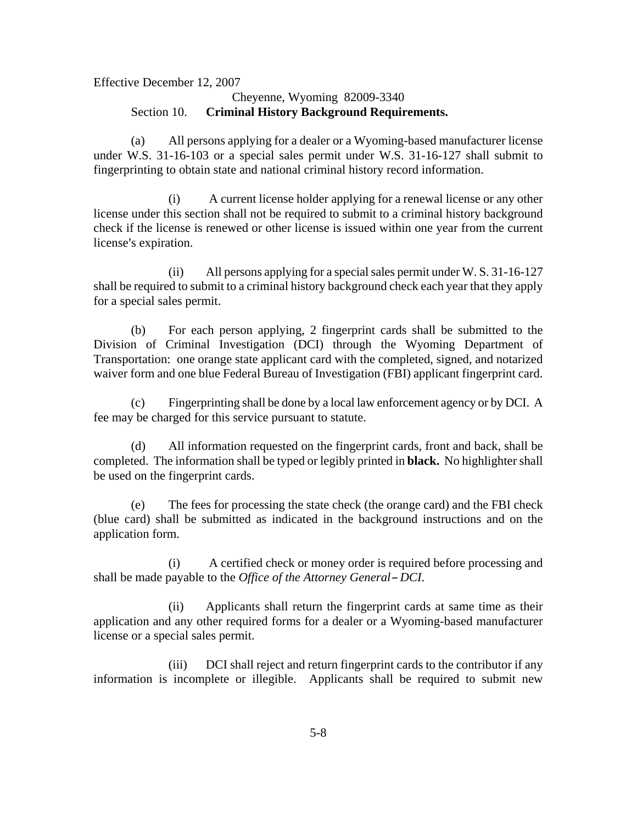Effective December 12, 2007 Cheyenne, Wyoming 82009-3340 Section 10. **Criminal History Background Requirements.**

(a) All persons applying for a dealer or a Wyoming-based manufacturer license under W.S. 31-16-103 or a special sales permit under W.S. 31-16-127 shall submit to fingerprinting to obtain state and national criminal history record information.

(i) A current license holder applying for a renewal license or any other license under this section shall not be required to submit to a criminal history background check if the license is renewed or other license is issued within one year from the current license's expiration.

(ii) All persons applying for a special sales permit under W. S. 31-16-127 shall be required to submit to a criminal history background check each year that they apply for a special sales permit.

(b) For each person applying, 2 fingerprint cards shall be submitted to the Division of Criminal Investigation (DCI) through the Wyoming Department of Transportation: one orange state applicant card with the completed, signed, and notarized waiver form and one blue Federal Bureau of Investigation (FBI) applicant fingerprint card.

(c) Fingerprinting shall be done by a local law enforcement agency or by DCI. A fee may be charged for this service pursuant to statute.

(d) All information requested on the fingerprint cards, front and back, shall be completed. The information shall be typed or legibly printed in **black.** No highlighter shall be used on the fingerprint cards.

(e) The fees for processing the state check (the orange card) and the FBI check (blue card) shall be submitted as indicated in the background instructions and on the application form.

(i) A certified check or money order is required before processing and shall be made payable to the *Office of the Attorney General-DCI*.

(ii) Applicants shall return the fingerprint cards at same time as their application and any other required forms for a dealer or a Wyoming-based manufacturer license or a special sales permit.

(iii) DCI shall reject and return fingerprint cards to the contributor if any information is incomplete or illegible. Applicants shall be required to submit new